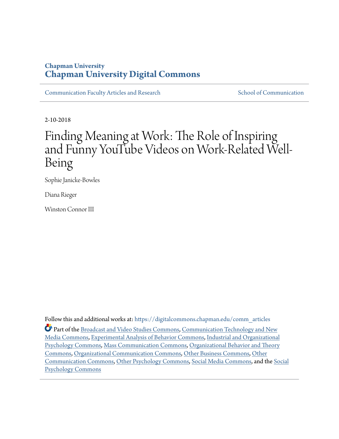### **Chapman University [Chapman University Digital Commons](https://digitalcommons.chapman.edu?utm_source=digitalcommons.chapman.edu%2Fcomm_articles%2F48&utm_medium=PDF&utm_campaign=PDFCoverPages)**

[Communication Faculty Articles and Research](https://digitalcommons.chapman.edu/comm_articles?utm_source=digitalcommons.chapman.edu%2Fcomm_articles%2F48&utm_medium=PDF&utm_campaign=PDFCoverPages) [School of Communication](https://digitalcommons.chapman.edu/communication?utm_source=digitalcommons.chapman.edu%2Fcomm_articles%2F48&utm_medium=PDF&utm_campaign=PDFCoverPages)

2-10-2018

# Finding Meaning at Work: The Role of Inspiring and Funny YouTube Videos on Work-Related Well-Being

Sophie Janicke-Bowles

Diana Rieger

Winston Connor III

Follow this and additional works at: [https://digitalcommons.chapman.edu/comm\\_articles](https://digitalcommons.chapman.edu/comm_articles?utm_source=digitalcommons.chapman.edu%2Fcomm_articles%2F48&utm_medium=PDF&utm_campaign=PDFCoverPages) Part of the [Broadcast and Video Studies Commons,](http://network.bepress.com/hgg/discipline/326?utm_source=digitalcommons.chapman.edu%2Fcomm_articles%2F48&utm_medium=PDF&utm_campaign=PDFCoverPages) [Communication Technology and New](http://network.bepress.com/hgg/discipline/327?utm_source=digitalcommons.chapman.edu%2Fcomm_articles%2F48&utm_medium=PDF&utm_campaign=PDFCoverPages) [Media Commons,](http://network.bepress.com/hgg/discipline/327?utm_source=digitalcommons.chapman.edu%2Fcomm_articles%2F48&utm_medium=PDF&utm_campaign=PDFCoverPages) [Experimental Analysis of Behavior Commons,](http://network.bepress.com/hgg/discipline/1236?utm_source=digitalcommons.chapman.edu%2Fcomm_articles%2F48&utm_medium=PDF&utm_campaign=PDFCoverPages) [Industrial and Organizational](http://network.bepress.com/hgg/discipline/412?utm_source=digitalcommons.chapman.edu%2Fcomm_articles%2F48&utm_medium=PDF&utm_campaign=PDFCoverPages) [Psychology Commons,](http://network.bepress.com/hgg/discipline/412?utm_source=digitalcommons.chapman.edu%2Fcomm_articles%2F48&utm_medium=PDF&utm_campaign=PDFCoverPages) [Mass Communication Commons](http://network.bepress.com/hgg/discipline/334?utm_source=digitalcommons.chapman.edu%2Fcomm_articles%2F48&utm_medium=PDF&utm_campaign=PDFCoverPages), [Organizational Behavior and Theory](http://network.bepress.com/hgg/discipline/639?utm_source=digitalcommons.chapman.edu%2Fcomm_articles%2F48&utm_medium=PDF&utm_campaign=PDFCoverPages) [Commons,](http://network.bepress.com/hgg/discipline/639?utm_source=digitalcommons.chapman.edu%2Fcomm_articles%2F48&utm_medium=PDF&utm_campaign=PDFCoverPages) [Organizational Communication Commons](http://network.bepress.com/hgg/discipline/335?utm_source=digitalcommons.chapman.edu%2Fcomm_articles%2F48&utm_medium=PDF&utm_campaign=PDFCoverPages), [Other Business Commons](http://network.bepress.com/hgg/discipline/647?utm_source=digitalcommons.chapman.edu%2Fcomm_articles%2F48&utm_medium=PDF&utm_campaign=PDFCoverPages), [Other](http://network.bepress.com/hgg/discipline/339?utm_source=digitalcommons.chapman.edu%2Fcomm_articles%2F48&utm_medium=PDF&utm_campaign=PDFCoverPages) [Communication Commons,](http://network.bepress.com/hgg/discipline/339?utm_source=digitalcommons.chapman.edu%2Fcomm_articles%2F48&utm_medium=PDF&utm_campaign=PDFCoverPages) [Other Psychology Commons](http://network.bepress.com/hgg/discipline/415?utm_source=digitalcommons.chapman.edu%2Fcomm_articles%2F48&utm_medium=PDF&utm_campaign=PDFCoverPages), [Social Media Commons](http://network.bepress.com/hgg/discipline/1249?utm_source=digitalcommons.chapman.edu%2Fcomm_articles%2F48&utm_medium=PDF&utm_campaign=PDFCoverPages), and the [Social](http://network.bepress.com/hgg/discipline/414?utm_source=digitalcommons.chapman.edu%2Fcomm_articles%2F48&utm_medium=PDF&utm_campaign=PDFCoverPages) [Psychology Commons](http://network.bepress.com/hgg/discipline/414?utm_source=digitalcommons.chapman.edu%2Fcomm_articles%2F48&utm_medium=PDF&utm_campaign=PDFCoverPages)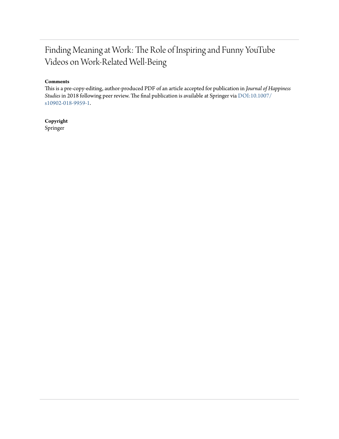## Finding Meaning at Work: The Role of Inspiring and Funny YouTube Videos on Work-Related Well-Being

### **Comments**

This is a pre-copy-editing, author-produced PDF of an article accepted for publication in *Journal of Happiness Studies* in 2018 following peer review. The final publication is available at Springer via [DOI:10.1007/](https://doi.org/10.1007/s10902-018-9959-1) [s10902-018-9959-1](https://doi.org/10.1007/s10902-018-9959-1).

**Copyright** Springer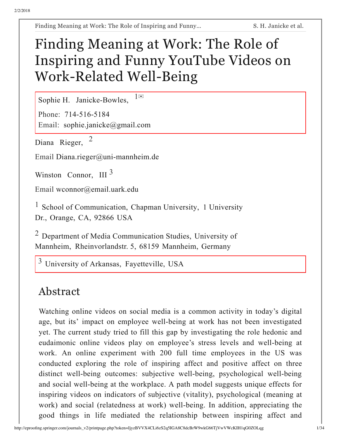Finding Meaning at Work: The Role of Inspiring and Funny... S. H. Janicke et al.

# Finding Meaning at Work: The Role of Inspiring and Funny YouTube Videos on Work-Related Well-Being

Sophie H. Janicke-Bowles,  $1 \infty$ 

Phone: 714-516-5184 Email: sophie.janicke@gmail.com

Diana Rieger, 2

Email Diana.rieger@uni-mannheim.de

Winston Connor, III  $3$ 

Email wconnor@email.uark.edu

<sup>1</sup> School of Communication, Chapman University, 1 University Dr., Orange, CA, 92866 USA

 $2$  Department of Media Communication Studies, University of Mannheim, Rheinvorlandstr. 5, 68159 Mannheim, Germany

 $3$  University of Arkansas, Fayetteville, USA

# Abstract

Watching online videos on social media is a common activity in today's digital age, but its' impact on employee well-being at work has not been investigated yet. The current study tried to fill this gap by investigating the role hedonic and eudaimonic online videos play on employee's stress levels and well-being at work. An online experiment with 200 full time employees in the US was conducted exploring the role of inspiring affect and positive affect on three distinct well-being outcomes: subjective well-being, psychological well-being and social well-being at the workplace. A path model suggests unique effects for inspiring videos on indicators of subjective (vitality), psychological (meaning at work) and social (relatedness at work) well-being. In addition, appreciating the good things in life mediated the relationship between inspiring affect and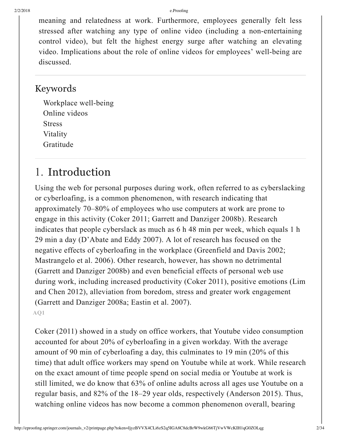meaning and relatedness at work. Furthermore, employees generally felt less stressed after watching any type of online video (including a non-entertaining control video), but felt the highest energy surge after watching an elevating video. Implications about the role of online videos for employees' well-being are discussed.

## Keywords

Workplace well-being Online videos Stress Vitality Gratitude

# 1. Introduction

Using the web for personal purposes during work, often referred to as cyberslacking or cyberloafing, is a common phenomenon, with research indicating that approximately 70–80% of employees who use computers at work are prone to engage in this activity (Coker 2011; Garrett and Danziger 2008b). Research indicates that people cyberslack as much as 6 h 48 min per week, which equals 1 h 29 min a day (D'Abate and Eddy 2007). A lot of research has focused on the negative effects of cyberloafing in the workplace (Greenfield and Davis 2002; Mastrangelo et al. 2006). Other research, however, has shown no detrimental (Garrett and Danziger 2008b) and even beneficial effects of personal web use during work, including increased productivity (Coker 2011), positive emotions (Lim and Chen 2012), alleviation from boredom, stress and greater work engagement (Garrett and Danziger 2008a; Eastin et al. 2007). **AQ1**

Coker (2011) showed in a study on office workers, that Youtube video consumption accounted for about 20% of cyberloafing in a given workday. With the average amount of 90 min of cyberloafing a day, this culminates to 19 min (20% of this time) that adult office workers may spend on Youtube while at work. While research on the exact amount of time people spend on social media or Youtube at work is still limited, we do know that 63% of online adults across all ages use Youtube on a regular basis, and 82% of the 18–29 year olds, respectively (Anderson 2015). Thus, watching online videos has now become a common phenomenon overall, bearing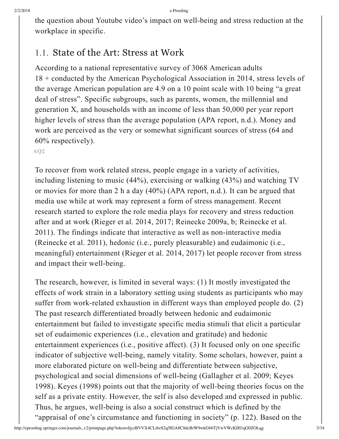the question about Youtube video's impact on well-being and stress reduction at the workplace in specific.

## 1.1. State of the Art: Stress at Work

According to a national representative survey of 3068 American adults 18 + conducted by the American Psychological Association in 2014, stress levels of the average American population are 4.9 on a 10 point scale with 10 being "a great deal of stress". Specific subgroups, such as parents, women, the millennial and generation X, and households with an income of less than 50,000 per year report higher levels of stress than the average population (APA report, n.d.). Money and work are perceived as the very or somewhat significant sources of stress (64 and 60% respectively).

**AQ2**

To recover from work related stress, people engage in a variety of activities, including listening to music (44%), exercising or walking (43%) and watching TV or movies for more than 2 h a day (40%) (APA report, n.d.). It can be argued that media use while at work may represent a form of stress management. Recent research started to explore the role media plays for recovery and stress reduction after and at work (Rieger et al. 2014, 2017; Reinecke 2009a, b; Reinecke et al. 2011). The findings indicate that interactive as well as non-interactive media (Reinecke et al. 2011), hedonic (i.e., purely pleasurable) and eudaimonic (i.e., meaningful) entertainment (Rieger et al. 2014, 2017) let people recover from stress and impact their well-being.

The research, however, is limited in several ways: (1) It mostly investigated the effects of work strain in a laboratory setting using students as participants who may suffer from work-related exhaustion in different ways than employed people do.  $(2)$ The past research differentiated broadly between hedonic and eudaimonic entertainment but failed to investigate specific media stimuli that elicit a particular set of eudaimonic experiences (i.e., elevation and gratitude) and hedonic entertainment experiences (i.e., positive affect). (3) It focused only on one specific indicator of subjective well-being, namely vitality. Some scholars, however, paint a more elaborated picture on well-being and differentiate between subjective, psychological and social dimensions of well-being (Gallagher et al. 2009; Keyes 1998). Keyes (1998) points out that the majority of well-being theories focus on the self as a private entity. However, the self is also developed and expressed in public. Thus, he argues, well-being is also a social construct which is defined by the "appraisal of one's circumstance and functioning in society" (p. 122). Based on the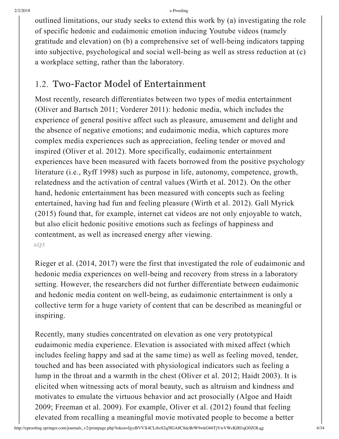outlined limitations, our study seeks to extend this work by (a) investigating the role of specific hedonic and eudaimonic emotion inducing Youtube videos (namely gratitude and elevation) on (b) a comprehensive set of wellbeing indicators tapping into subjective, psychological and social well-being as well as stress reduction at  $(c)$ a workplace setting, rather than the laboratory.

## 1.2. Two-Factor Model of Entertainment

Most recently, research differentiates between two types of media entertainment (Oliver and Bartsch 2011; Vorderer 2011): hedonic media, which includes the experience of general positive affect such as pleasure, amusement and delight and the absence of negative emotions; and eudaimonic media, which captures more complex media experiences such as appreciation, feeling tender or moved and inspired (Oliver et al. 2012). More specifically, eudaimonic entertainment experiences have been measured with facets borrowed from the positive psychology literature (i.e., Ryff 1998) such as purpose in life, autonomy, competence, growth, relatedness and the activation of central values (Wirth et al. 2012). On the other hand, hedonic entertainment has been measured with concepts such as feeling entertained, having had fun and feeling pleasure (Wirth et al. 2012). Gall Myrick (2015) found that, for example, internet cat videos are not only enjoyable to watch, but also elicit hedonic positive emotions such as feelings of happiness and contentment, as well as increased energy after viewing. **AQ3**

Rieger et al. (2014, 2017) were the first that investigated the role of eudaimonic and hedonic media experiences on well-being and recovery from stress in a laboratory setting. However, the researchers did not further differentiate between eudaimonic and hedonic media content on well-being, as eudaimonic entertainment is only a collective term for a huge variety of content that can be described as meaningful or inspiring.

Recently, many studies concentrated on elevation as one very prototypical eudaimonic media experience. Elevation is associated with mixed affect (which includes feeling happy and sad at the same time) as well as feeling moved, tender, touched and has been associated with physiological indicators such as feeling a lump in the throat and a warmth in the chest (Oliver et al. 2012; Haidt 2003). It is elicited when witnessing acts of moral beauty, such as altruism and kindness and motivates to emulate the virtuous behavior and act prosocially (Algoe and Haidt 2009; Freeman et al. 2009). For example, Oliver et al. (2012) found that feeling elevated from recalling a meaningful movie motivated people to become a better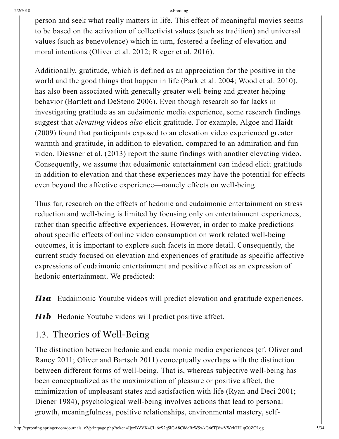person and seek what really matters in life. This effect of meaningful movies seems to be based on the activation of collectivist values (such as tradition) and universal values (such as benevolence) which in turn, fostered a feeling of elevation and moral intentions (Oliver et al. 2012; Rieger et al. 2016).

Additionally, gratitude, which is defined as an appreciation for the positive in the world and the good things that happen in life (Park et al. 2004; Wood et al. 2010), has also been associated with generally greater well-being and greater helping behavior (Bartlett and DeSteno 2006). Even though research so far lacks in investigating gratitude as an eudaimonic media experience, some research findings suggest that *elevating* videos *also* elicit gratitude. For example, Algoe and Haidt (2009) found that participants exposed to an elevation video experienced greater warmth and gratitude, in addition to elevation, compared to an admiration and fun video. Diessner et al. (2013) report the same findings with another elevating video. Consequently, we assume that eduaimonic entertainment can indeed elicit gratitude in addition to elevation and that these experiences may have the potential for effects even beyond the affective experience—namely effects on well-being.

Thus far, research on the effects of hedonic and eudaimonic entertainment on stress reduction and well-being is limited by focusing only on entertainment experiences, rather than specific affective experiences. However, in order to make predictions about specific effects of online video consumption on work related well-being outcomes, it is important to explore such facets in more detail. Consequently, the current study focused on elevation and experiences of gratitude as specific affective expressions of eudaimonic entertainment and positive affect as an expression of hedonic entertainment. We predicted:

*H1a* Eudaimonic Youtube videos will predict elevation and gratitude experiences.

*H1b* Hedonic Youtube videos will predict positive affect.

## 1.3. Theories of Well-Being

The distinction between hedonic and eudaimonic media experiences (cf. Oliver and Raney 2011; Oliver and Bartsch 2011) conceptually overlaps with the distinction between different forms of well-being. That is, whereas subjective well-being has been conceptualized as the maximization of pleasure or positive affect, the minimization of unpleasant states and satisfaction with life (Ryan and Deci 2001; Diener 1984), psychological well-being involves actions that lead to personal growth, meaningfulness, positive relationships, environmental mastery, self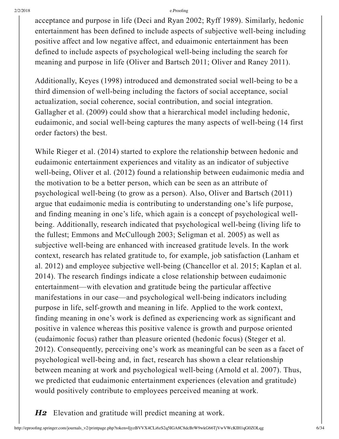acceptance and purpose in life (Deci and Ryan 2002; Ryff 1989). Similarly, hedonic entertainment has been defined to include aspects of subjective well-being including positive affect and low negative affect, and eduaimonic entertainment has been defined to include aspects of psychological well-being including the search for meaning and purpose in life (Oliver and Bartsch 2011; Oliver and Raney 2011).

Additionally, Keyes (1998) introduced and demonstrated social well-being to be a third dimension of well-being including the factors of social acceptance, social actualization, social coherence, social contribution, and social integration. Gallagher et al. (2009) could show that a hierarchical model including hedonic, eudaimonic, and social well-being captures the many aspects of well-being (14 first order factors) the best.

While Rieger et al. (2014) started to explore the relationship between hedonic and eudaimonic entertainment experiences and vitality as an indicator of subjective well-being, Oliver et al. (2012) found a relationship between eudaimonic media and the motivation to be a better person, which can be seen as an attribute of psychological well-being (to grow as a person). Also, Oliver and Bartsch (2011) argue that eudaimonic media is contributing to understanding one's life purpose, and finding meaning in one's life, which again is a concept of psychological wellbeing. Additionally, research indicated that psychological well-being (living life to the fullest; Emmons and McCullough 2003; Seligman et al. 2005) as well as subjective well-being are enhanced with increased gratitude levels. In the work context, research has related gratitude to, for example, job satisfaction (Lanham et al. 2012) and employee subjective well-being (Chancellor et al. 2015; Kaplan et al. 2014). The research findings indicate a close relationship between eudaimonic entertainment—with elevation and gratitude being the particular affective manifestations in our case—and psychological well-being indicators including purpose in life, self-growth and meaning in life. Applied to the work context, finding meaning in one's work is defined as experiencing work as significant and positive in valence whereas this positive valence is growth and purpose oriented (eudaimonic focus) rather than pleasure oriented (hedonic focus) (Steger et al. 2012). Consequently, perceiving one's work as meaningful can be seen as a facet of psychological well-being and, in fact, research has shown a clear relationship between meaning at work and psychological well-being (Arnold et al. 2007). Thus, we predicted that eudaimonic entertainment experiences (elevation and gratitude) would positively contribute to employees perceived meaning at work.

*H2* Elevation and gratitude will predict meaning at work.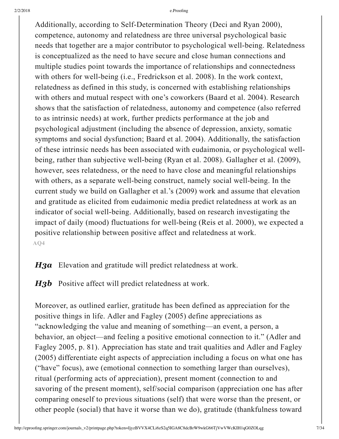Additionally, according to Self-Determination Theory (Deci and Ryan 2000), competence, autonomy and relatedness are three universal psychological basic needs that together are a major contributor to psychological well-being. Relatedness is conceptualized as the need to have secure and close human connections and multiple studies point towards the importance of relationships and connectedness with others for well-being (i.e., Fredrickson et al. 2008). In the work context, relatedness as defined in this study, is concerned with establishing relationships with others and mutual respect with one's coworkers (Baard et al. 2004). Research shows that the satisfaction of relatedness, autonomy and competence (also referred to as intrinsic needs) at work, further predicts performance at the job and psychological adjustment (including the absence of depression, anxiety, somatic symptoms and social dysfunction; Baard et al. 2004). Additionally, the satisfaction of these intrinsic needs has been associated with eudaimonia, or psychological wellbeing, rather than subjective well-being (Ryan et al. 2008). Gallagher et al. (2009), however, sees relatedness, or the need to have close and meaningful relationships with others, as a separate well-being construct, namely social well-being. In the current study we build on Gallagher et al.'s (2009) work and assume that elevation and gratitude as elicited from eudaimonic media predict relatedness at work as an indicator of social well-being. Additionally, based on research investigating the impact of daily (mood) fluctuations for well-being (Reis et al. 2000), we expected a positive relationship between positive affect and relatedness at work. **AQ4**

*H3a* Elevation and gratitude will predict relatedness at work.

*H3b* Positive affect will predict relatedness at work.

Moreover, as outlined earlier, gratitude has been defined as appreciation for the positive things in life. Adler and Fagley (2005) define appreciations as "acknowledging the value and meaning of something—an event, a person, a behavior, an object—and feeling a positive emotional connection to it." (Adler and Fagley 2005, p. 81). Appreciation has state and trait qualities and Adler and Fagley (2005) differentiate eight aspects of appreciation including a focus on what one has ("have" focus), awe (emotional connection to something larger than ourselves), ritual (performing acts of appreciation), present moment (connection to and savoring of the present moment), self/social comparison (appreciation one has after comparing oneself to previous situations (self) that were worse than the present, or other people (social) that have it worse than we do), gratitude (thankfulness toward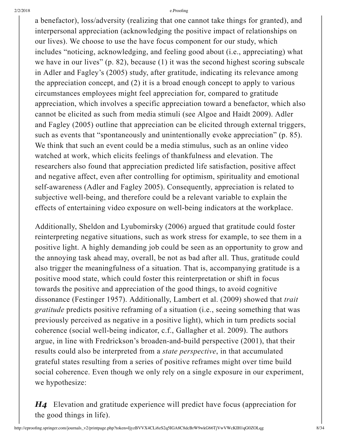a benefactor), loss/adversity (realizing that one cannot take things for granted), and interpersonal appreciation (acknowledging the positive impact of relationships on our lives). We choose to use the have focus component for our study, which includes "noticing, acknowledging, and feeling good about (i.e., appreciating) what we have in our lives" (p. 82), because (1) it was the second highest scoring subscale in Adler and Fagley's (2005) study, after gratitude, indicating its relevance among the appreciation concept, and (2) it is a broad enough concept to apply to various circumstances employees might feel appreciation for, compared to gratitude appreciation, which involves a specific appreciation toward a benefactor, which also cannot be elicited as such from media stimuli (see Algoe and Haidt 2009). Adler and Fagley (2005) outline that appreciation can be elicited through external triggers, such as events that "spontaneously and unintentionally evoke appreciation" (p. 85). We think that such an event could be a media stimulus, such as an online video watched at work, which elicits feelings of thankfulness and elevation. The researchers also found that appreciation predicted life satisfaction, positive affect and negative affect, even after controlling for optimism, spirituality and emotional self-awareness (Adler and Fagley 2005). Consequently, appreciation is related to subjective well-being, and therefore could be a relevant variable to explain the effects of entertaining video exposure on well-being indicators at the workplace.

Additionally, Sheldon and Lyubomirsky (2006) argued that gratitude could foster reinterpreting negative situations, such as work stress for example, to see them in a positive light. A highly demanding job could be seen as an opportunity to grow and the annoying task ahead may, overall, be not as bad after all. Thus, gratitude could also trigger the meaningfulness of a situation. That is, accompanying gratitude is a positive mood state, which could foster this reinterpretation or shift in focus towards the positive and appreciation of the good things, to avoid cognitive dissonance (Festinger 1957). Additionally, Lambert et al. (2009) showed that *trait gratitude* predicts positive reframing of a situation (i.e., seeing something that was previously perceived as negative in a positive light), which in turn predicts social coherence (social well-being indicator, c.f., Gallagher et al. 2009). The authors argue, in line with Fredrickson's broaden-and-build perspective  $(2001)$ , that their results could also be interpreted from a *state perspective*, in that accumulated grateful states resulting from a series of positive reframes might over time build social coherence. Even though we only rely on a single exposure in our experiment, we hypothesize:

*H4* Elevation and gratitude experience will predict have focus (appreciation for the good things in life).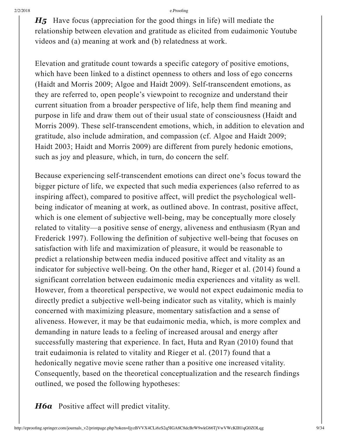*H5* Have focus (appreciation for the good things in life) will mediate the relationship between elevation and gratitude as elicited from eudaimonic Youtube videos and (a) meaning at work and (b) relatedness at work.

Elevation and gratitude count towards a specific category of positive emotions, which have been linked to a distinct openness to others and loss of ego concerns (Haidt and Morris 2009; Algoe and Haidt 2009). Self-transcendent emotions, as they are referred to, open people's viewpoint to recognize and understand their current situation from a broader perspective of life, help them find meaning and purpose in life and draw them out of their usual state of consciousness (Haidt and Morris 2009). These self-transcendent emotions, which, in addition to elevation and gratitude, also include admiration, and compassion (cf. Algoe and Haidt 2009; Haidt 2003; Haidt and Morris 2009) are different from purely hedonic emotions, such as joy and pleasure, which, in turn, do concern the self.

Because experiencing self-transcendent emotions can direct one's focus toward the bigger picture of life, we expected that such media experiences (also referred to as inspiring affect), compared to positive affect, will predict the psychological wellbeing indicator of meaning at work, as outlined above. In contrast, positive affect, which is one element of subjective well-being, may be conceptually more closely related to vitality—a positive sense of energy, aliveness and enthusiasm (Ryan and Frederick 1997). Following the definition of subjective well-being that focuses on satisfaction with life and maximization of pleasure, it would be reasonable to predict a relationship between media induced positive affect and vitality as an indicator for subjective well-being. On the other hand, Rieger et al.  $(2014)$  found a significant correlation between eudaimonic media experiences and vitality as well. However, from a theoretical perspective, we would not expect eudaimonic media to directly predict a subjective well-being indicator such as vitality, which is mainly concerned with maximizing pleasure, momentary satisfaction and a sense of aliveness. However, it may be that eudaimonic media, which, is more complex and demanding in nature leads to a feeling of increased arousal and energy after successfully mastering that experience. In fact, Huta and Ryan (2010) found that trait eudaimonia is related to vitality and Rieger et al. (2017) found that a hedonically negative movie scene rather than a positive one increased vitality. Consequently, based on the theoretical conceptualization and the research findings outlined, we posed the following hypotheses:

### *H6a* Positive affect will predict vitality.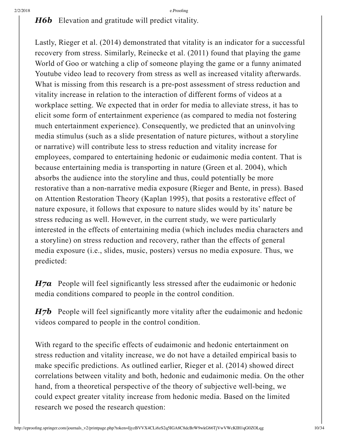*H6b* Elevation and gratitude will predict vitality.

Lastly, Rieger et al. (2014) demonstrated that vitality is an indicator for a successful recovery from stress. Similarly, Reinecke et al. (2011) found that playing the game World of Goo or watching a clip of someone playing the game or a funny animated Youtube video lead to recovery from stress as well as increased vitality afterwards. What is missing from this research is a pre-post assessment of stress reduction and vitality increase in relation to the interaction of different forms of videos at a workplace setting. We expected that in order for media to alleviate stress, it has to elicit some form of entertainment experience (as compared to media not fostering much entertainment experience). Consequently, we predicted that an uninvolving media stimulus (such as a slide presentation of nature pictures, without a storyline or narrative) will contribute less to stress reduction and vitality increase for employees, compared to entertaining hedonic or eudaimonic media content. That is because entertaining media is transporting in nature (Green et al. 2004), which absorbs the audience into the storyline and thus, could potentially be more restorative than a non-narrative media exposure (Rieger and Bente, in press). Based on Attention Restoration Theory (Kaplan 1995), that posits a restorative effect of nature exposure, it follows that exposure to nature slides would by its' nature be stress reducing as well. However, in the current study, we were particularly interested in the effects of entertaining media (which includes media characters and a storyline) on stress reduction and recovery, rather than the effects of general media exposure (i.e., slides, music, posters) versus no media exposure. Thus, we predicted:

*H7a* People will feel significantly less stressed after the eudaimonic or hedonic media conditions compared to people in the control condition.

*H7b* People will feel significantly more vitality after the eudaimonic and hedonic videos compared to people in the control condition.

With regard to the specific effects of eudaimonic and hedonic entertainment on stress reduction and vitality increase, we do not have a detailed empirical basis to make specific predictions. As outlined earlier, Rieger et al. (2014) showed direct correlations between vitality and both, hedonic and eudaimonic media. On the other hand, from a theoretical perspective of the theory of subjective well-being, we could expect greater vitality increase from hedonic media. Based on the limited research we posed the research question: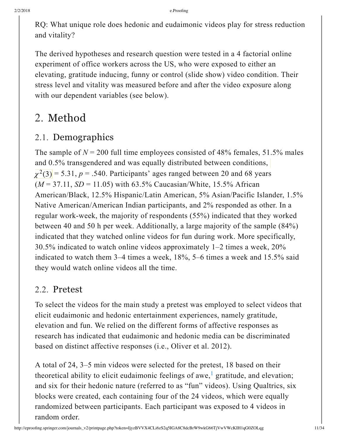RQ: What unique role does hedonic and eudaimonic videos play for stress reduction and vitality?

The derived hypotheses and research question were tested in a 4 factorial online experiment of office workers across the US, who were exposed to either an elevating, gratitude inducing, funny or control (slide show) video condition. Their stress level and vitality was measured before and after the video exposure along with our dependent variables (see below).

# 2. Method

## 2.1. Demographics

The sample of  $N = 200$  full time employees consisted of 48% females, 51.5% males and 0.5% transgendered and was equally distributed between conditions,  $\chi^2(3)$  = 5.31, *p* = .540. Participants' ages ranged between 20 and 68 years  $(M = 37.11, SD = 11.05)$  with 63.5% Caucasian/White, 15.5% African American/Black, 12.5% Hispanic/Latin American, 5% Asian/Pacific Islander, 1.5% Native American/American Indian participants, and 2% responded as other. In a regular work-week, the majority of respondents (55%) indicated that they worked between 40 and 50 h per week. Additionally, a large majority of the sample (84%) indicated that they watched online videos for fun during work. More specifically, 30.5% indicated to watch online videos approximately 1–2 times a week, 20% indicated to watch them 3–4 times a week, 18%, 5–6 times a week and 15.5% said they would watch online videos all the time.

### 2.2. Pretest

To select the videos for the main study a pretest was employed to select videos that elicit eudaimonic and hedonic entertainment experiences, namely gratitude, elevation and fun. We relied on the different forms of affective responses as research has indicated that eudaimonic and hedonic media can be discriminated based on distinct affective responses (i.e., Oliver et al. 2012).

<span id="page-12-0"></span>A total of 24, 3–5 min videos were selected for the pretest, 18 based on their theoretical ability to elicit eudaimonic feelings of awe,<sup>[1](#page-35-0)</sup> gratitude, and elevation; and six for their hedonic nature (referred to as "fun" videos). Using Qualtrics, six blocks were created, each containing four of the 24 videos, which were equally randomized between participants. Each participant was exposed to 4 videos in random order.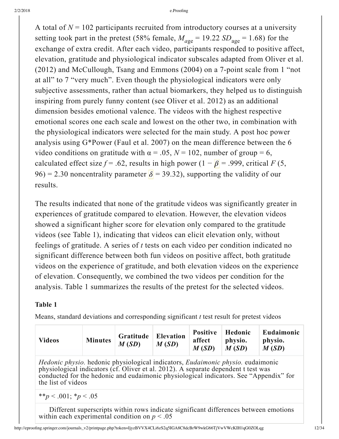A total of  $N = 102$  participants recruited from introductory courses at a university setting took part in the pretest (58% female,  $M_{age} = 19.22$   $SD_{age} = 1.68$ ) for the exchange of extra credit. After each video, participants responded to positive affect, elevation, gratitude and physiological indicator subscales adapted from Oliver et al.  $(2012)$  and McCullough, Tsang and Emmons  $(2004)$  on a 7-point scale from 1 "not at all" to 7 "very much". Even though the physiological indicators were only subjective assessments, rather than actual biomarkers, they helped us to distinguish inspiring from purely funny content (see Oliver et al. 2012) as an additional dimension besides emotional valence. The videos with the highest respective emotional scores one each scale and lowest on the other two, in combination with the physiological indicators were selected for the main study. A post hoc power analysis using G\*Power (Faul et al. 2007) on the mean difference between the 6 video conditions on gratitude with  $\alpha = .05$ ,  $N = 102$ , number of group = 6, calculated effect size  $f = .62$ , results in high power  $(1 - \beta) = .999$ , critical *F* (5, 96) = 2.30 noncentrality parameter  $\delta$  = 39.32), supporting the validity of our results.

The results indicated that none of the gratitude videos was significantly greater in experiences of gratitude compared to elevation. However, the elevation videos showed a significant higher score for elevation only compared to the gratitude videos (see Table 1), indicating that videos can elicit elevation only, without feelings of gratitude. A series of *t* tests on each video per condition indicated no significant difference between both fun videos on positive affect, both gratitude videos on the experience of gratitude, and both elevation videos on the experience of elevation. Consequently, we combined the two videos per condition for the analysis. Table 1 summarizes the results of the pretest for the selected videos.

### **Table 1**

Means, standard deviations and corresponding significant *t* test result for pretest videos

| <b>Minutes</b><br><b>Videos</b> | Gratitude Elevation<br>M(SD) | M(SD) | affect<br>M(SD) | <b>Positive</b>   Hedonic<br>physio.<br>M(SD) | Eudaimonic<br>physio.<br>M(SD) |
|---------------------------------|------------------------------|-------|-----------------|-----------------------------------------------|--------------------------------|
|---------------------------------|------------------------------|-------|-----------------|-----------------------------------------------|--------------------------------|

*Hedonic physio.* hedonic physiological indicators, *Eudaimonic physio.* eudaimonic physiological indicators (cf. Oliver et al. 2012). A separate dependent t test was conducted for the hedonic and eudaimonic physiological indicators. See "Appendix" for the list of videos

\*\**p* < .001; \**p* < .05

Different superscripts within rows indicate significant differences between emotions within each experimental condition on  $p < .05$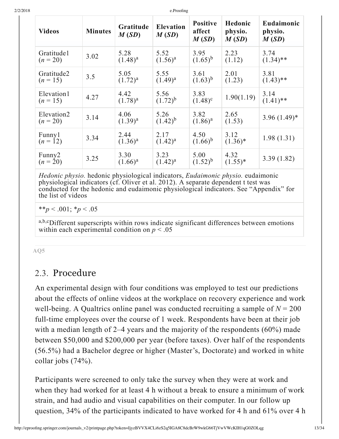| <b>Videos</b>            | <b>Minutes</b> | Gratitude<br>M(SD)   | <b>Elevation</b><br>M(SD) | <b>Positive</b><br>affect<br>M(SD) | Hedonic<br>physio.<br>M(SD) | Eudaimonic<br>physio.<br>M(SD) |
|--------------------------|----------------|----------------------|---------------------------|------------------------------------|-----------------------------|--------------------------------|
| Gratitude1<br>$(n = 20)$ | 3.02           | 5.28<br>$(1.48)^{a}$ | 5.52<br>$(1.56)^{a}$      | 3.95<br>$(1.65)^{b}$               | 2.23<br>(1.12)              | 3.74<br>$(1.34)$ **            |
| Gratitude2<br>$(n = 15)$ | 3.5            | 5.05<br>$(1.72)^{a}$ | 5.55<br>$(1.49)^{a}$      | 3.61<br>$(1.63)^{b}$               | 2.01<br>(1.23)              | 3.81<br>$(1.43)$ **            |
| Elevation1<br>$(n = 15)$ | 4.27           | 4.42<br>$(1.78)^{a}$ | 5.56<br>$(1.72)^{b}$      | 3.83<br>$(1.48)^c$                 | 1.90(1.19)                  | 3.14<br>$(1.41)$ **            |
| Elevation2<br>$(n = 20)$ | 3.14           | 4.06<br>$(1.39)^{a}$ | 5.26<br>$(1.42)^{b}$      | 3.82<br>$(1.86)^{a}$               | 2.65<br>(1.53)              | $3.96(1.49)$ *                 |
| Funny1<br>$(n = 12)$     | 3.34           | 2.44<br>$(1.36)^{a}$ | 2.17<br>$(1.42)^{a}$      | 4.50<br>$(1.66)^{b}$               | 3.12<br>$(1.36)^*$          | 1.98(1.31)                     |
| Funny2<br>$(n = 20)$     | 3.25           | 3.30<br>$(1.66)^{a}$ | 3.23<br>$(1.42)^{a}$      | 5.00<br>$(1.52)^{b}$               | 4.32<br>$(1.55)^*$          | 3.39(1.82)                     |

*Hedonic physio.* hedonic physiological indicators, *Eudaimonic physio.* eudaimonic physiological indicators (cf. Oliver et al. 2012). A separate dependent t test was conducted for the hedonic and eudaimonic physiological indicators. See "Appendix" for the list of videos

\*\**p* < .001; \**p* < .05

a,b,cDifferent superscripts within rows indicate significant differences between emotions within each experimental condition on  $p < .05$ 

### **AQ5**

## 2.3. Procedure

An experimental design with four conditions was employed to test our predictions about the effects of online videos at the workplace on recovery experience and work well-being. A Qualtrics online panel was conducted recruiting a sample of  $N = 200$ full-time employees over the course of 1 week. Respondents have been at their job with a median length of 2–4 years and the majority of the respondents (60%) made between \$50,000 and \$200,000 per year (before taxes). Over half of the respondents (56.5%) had a Bachelor degree or higher (Master's, Doctorate) and worked in white collar jobs (74%).

Participants were screened to only take the survey when they were at work and when they had worked for at least 4 h without a break to ensure a minimum of work strain, and had audio and visual capabilities on their computer. In our follow up question, 34% of the participants indicated to have worked for 4 h and 61% over 4 h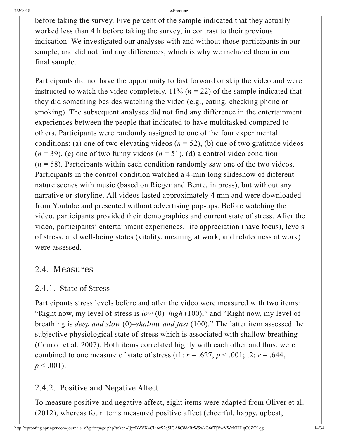before taking the survey. Five percent of the sample indicated that they actually worked less than 4 h before taking the survey, in contrast to their previous indication. We investigated our analyses with and without those participants in our sample, and did not find any differences, which is why we included them in our final sample.

Participants did not have the opportunity to fast forward or skip the video and were instructed to watch the video completely.  $11\%$  ( $n = 22$ ) of the sample indicated that they did something besides watching the video (e.g., eating, checking phone or smoking). The subsequent analyses did not find any difference in the entertainment experiences between the people that indicated to have multitasked compared to others. Participants were randomly assigned to one of the four experimental conditions: (a) one of two elevating videos  $(n = 52)$ , (b) one of two gratitude videos  $(n = 39)$ , (c) one of two funny videos  $(n = 51)$ , (d) a control video condition (*n* = 58). Participants within each condition randomly saw one of the two videos. Participants in the control condition watched a 4-min long slideshow of different nature scenes with music (based on Rieger and Bente, in press), but without any narrative or storyline. All videos lasted approximately 4 min and were downloaded from Youtube and presented without advertising pop-ups. Before watching the video, participants provided their demographics and current state of stress. After the video, participants' entertainment experiences, life appreciation (have focus), levels of stress, and well-being states (vitality, meaning at work, and relatedness at work) were assessed.

### 2.4. Measures

### 2.4.1. State of Stress

Participants stress levels before and after the video were measured with two items: "Right now, my level of stress is *low* (0)–*high* (100)," and "Right now, my level of breathing is *deep and slow* (0)–*shallow and fast* (100)." The latter item assessed the subjective physiological state of stress which is associated with shallow breathing (Conrad et al. 2007). Both items correlated highly with each other and thus, were combined to one measure of state of stress (t1:  $r = .627$ ,  $p < .001$ ; t2:  $r = .644$ ,  $p < .001$ ).

### 2.4.2. Positive and Negative Affect

To measure positive and negative affect, eight items were adapted from Oliver et al. (2012), whereas four items measured positive affect (cheerful, happy, upbeat,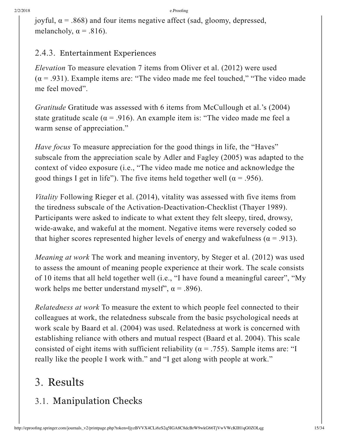joyful,  $\alpha$  = .868) and four items negative affect (sad, gloomy, depressed, melancholy,  $\alpha$  = .816).

### 2.4.3. Entertainment Experiences

*Elevation* To measure elevation 7 items from Oliver et al. (2012) were used  $(\alpha = .931)$ . Example items are: "The video made me feel touched," "The video made me feel moved".

*Gratitude* Gratitude was assessed with 6 items from McCullough et al.'s (2004) state gratitude scale ( $\alpha$  = .916). An example item is: "The video made me feel a warm sense of appreciation."

*Have focus* To measure appreciation for the good things in life, the "Haves" subscale from the appreciation scale by Adler and Fagley (2005) was adapted to the context of video exposure (i.e., "The video made me notice and acknowledge the good things I get in life"). The five items held together well ( $\alpha$  = .956).

*Vitality* Following Rieger et al. (2014), vitality was assessed with five items from the tiredness subscale of the Activation-Deactivation-Checklist (Thayer 1989). Participants were asked to indicate to what extent they felt sleepy, tired, drowsy, wide-awake, and wakeful at the moment. Negative items were reversely coded so that higher scores represented higher levels of energy and wakefulness ( $\alpha$  = .913).

*Meaning at work* The work and meaning inventory, by Steger et al. (2012) was used to assess the amount of meaning people experience at their work. The scale consists of 10 items that all held together well (i.e., "I have found a meaningful career", "My work helps me better understand myself",  $\alpha$  = .896).

*Relatedness at work* To measure the extent to which people feel connected to their colleagues at work, the relatedness subscale from the basic psychological needs at work scale by Baard et al. (2004) was used. Relatedness at work is concerned with establishing reliance with others and mutual respect (Baard et al. 2004). This scale consisted of eight items with sufficient reliability ( $\alpha$  = .755). Sample items are: "I really like the people I work with." and "I get along with people at work."

# 3. Results

# 3.1. Manipulation Checks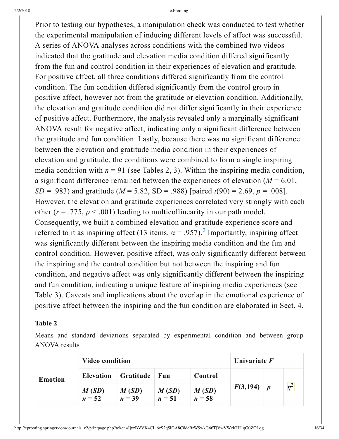Prior to testing our hypotheses, a manipulation check was conducted to test whether the experimental manipulation of inducing different levels of affect was successful. A series of ANOVA analyses across conditions with the combined two videos indicated that the gratitude and elevation media condition differed significantly from the fun and control condition in their experiences of elevation and gratitude. For positive affect, all three conditions differed significantly from the control condition. The fun condition differed significantly from the control group in positive affect, however not from the gratitude or elevation condition. Additionally, the elevation and gratitude condition did not differ significantly in their experience of positive affect. Furthermore, the analysis revealed only a marginally significant ANOVA result for negative affect, indicating only a significant difference between the gratitude and fun condition. Lastly, because there was no significant difference between the elevation and gratitude media condition in their experiences of elevation and gratitude, the conditions were combined to form a single inspiring media condition with  $n = 91$  (see Tables 2, 3). Within the inspiring media condition, a significant difference remained between the experiences of elevation  $(M = 6.01)$ , *SD* = .983) and gratitude (*M* = 5.82, SD = .988) [paired *t*(90) = 2.69, *p* = .008]. However, the elevation and gratitude experiences correlated very strongly with each other ( $r = .775$ ,  $p < .001$ ) leading to multicollinearity in our path model. Consequently, we built a combined elevation and gratitude experience score and referred to it as inspiring affect (13 items,  $\alpha = .957$ ).<sup>[2](#page-35-1)</sup> Importantly, inspiring affect was significantly different between the inspiring media condition and the fun and control condition. However, positive affect, was only significantly different between the inspiring and the control condition but not between the inspiring and fun condition, and negative affect was only significantly different between the inspiring and fun condition, indicating a unique feature of inspiring media experiences (see Table 3). Caveats and implications about the overlap in the emotional experience of positive affect between the inspiring and the fun condition are elaborated in Sect. 4.

### <span id="page-17-0"></span>**Table 2**

Means and standard deviations separated by experimental condition and between group ANOVA results

|                | <b>Video condition</b>                           | Univariate F      |                   |                   |          |                  |          |
|----------------|--------------------------------------------------|-------------------|-------------------|-------------------|----------|------------------|----------|
| <b>Emotion</b> | Control<br>  Gratitude   Fun<br><b>Elevation</b> |                   |                   |                   |          |                  |          |
|                | M(SD)<br>$n = 52$                                | M(SD)<br>$n = 39$ | M(SD)<br>$n = 51$ | M(SD)<br>$n = 58$ | F(3,194) | $\boldsymbol{p}$ | $\eta^2$ |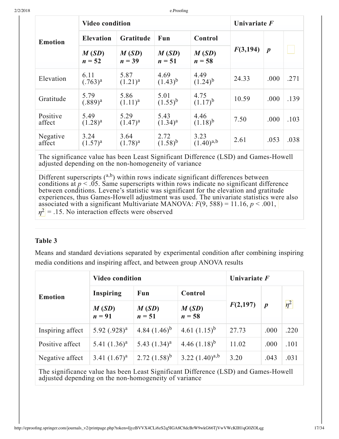| 2/2/2018 | e.Proofing |
|----------|------------|
|          |            |

| <b>Emotion</b>     |                      | <b>Video condition</b> |                      |                        |                              | Univariate $F$ |      |  |
|--------------------|----------------------|------------------------|----------------------|------------------------|------------------------------|----------------|------|--|
|                    | <b>Elevation</b>     | Gratitude              | Fun                  | Control                | F(3,194)<br>$\boldsymbol{p}$ |                |      |  |
|                    | M(SD)<br>$n = 52$    | M(SD)<br>$n = 39$      | M(SD)<br>$n = 51$    | M(SD)<br>$n = 58$      |                              |                |      |  |
| Elevation          | 6.11<br>$(.763)^{a}$ | 5.87<br>$(1.21)^a$     | 4.69<br>$(1.43)^{b}$ | 4.49<br>$(1.24)^{b}$   | 24.33                        | .000           | .271 |  |
| Gratitude          | 5.79<br>$(.889)^{a}$ | 5.86<br>$(1.11)^{a}$   | 5.01<br>$(1.55)^{b}$ | 4.75<br>$(1.17)^{b}$   | 10.59                        | .000           | .139 |  |
| Positive<br>affect | 5.49<br>$(1.28)^{a}$ | 5.29<br>$(1.47)^{a}$   | 5.43<br>$(1.34)^{a}$ | 4.46<br>$(1.18)^{b}$   | 7.50                         | .000           | .103 |  |
| Negative<br>affect | 3.24<br>$(1.57)^{a}$ | 3.64<br>$(1.78)^{a}$   | 2.72<br>$(1.58)^{b}$ | 3.23<br>$(1.40)^{a,b}$ | 2.61                         | .053           | .038 |  |

The significance value has been Least Significant Difference (LSD) and Games-Howell adjusted depending on the non-homogeneity of variance

Different superscripts  $({}^{a,b})$  within rows indicate significant differences between conditions at  $p < 0.05$ . Same superscripts within rows indicate no significant difference between conditions. Levene's statistic was significant for the elevation and gratitude experiences, thus Games-Howell adjustment was used. The univariate statistics were also associated with a significant Multivariate MANOVA:  $F(9, 588) = 11.16$ ,  $p < .001$ ,  $\eta^2$  = .15. No interaction effects were observed a,b

### **Table 3**

Means and standard deviations separated by experimental condition after combining inspiring media conditions and inspiring affect, and between group ANOVA results

| <b>Emotion</b>   | <b>Video condition</b> | Univariate F      |                     |          |                  |            |
|------------------|------------------------|-------------------|---------------------|----------|------------------|------------|
|                  | Inspiring              | Control<br>Fun    |                     |          |                  |            |
|                  | M(SD)<br>$n = 91$      | M(SD)<br>$n = 51$ | M(SD)<br>$n = 58$   | F(2,197) | $\boldsymbol{p}$ | $ \eta^2 $ |
| Inspiring affect | 5.92 $(.928)^{a}$      | 4.84 $(1.46)^{b}$ | 4.61 $(1.15)^{b}$   | 27.73    | .000             | .220       |
| Positive affect  | 5.41 $(1.36)^a$        | 5.43 $(1.34)^a$   | 4.46 $(1.18)^{b}$   | 11.02    | .000             | .101       |
| Negative affect  | 3.41 $(1.67)^a$        | $2.72(1.58)^{b}$  | $3.22 (1.40)^{a,b}$ | 3.20     | .043             | .031       |

The significance value has been Least Significant Difference (LSD) and Games-Howell adjusted depending on the non-homogeneity of variance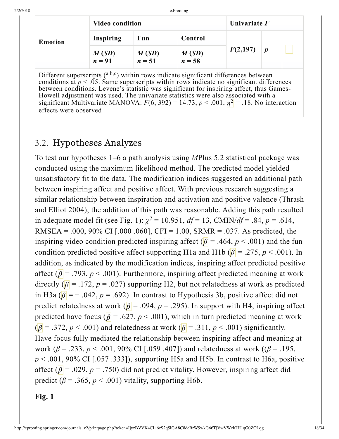| <b>Emotion</b> |                     | <b>Video condition</b> |                     |          | Univariate $F$   |  |  |
|----------------|---------------------|------------------------|---------------------|----------|------------------|--|--|
|                | Inspiring           | Fun                    | Control             |          |                  |  |  |
|                | $M(SD)$<br>$n = 91$ | $M(SD)$<br>$n = 51$    | $M(SD)$<br>$n = 58$ | F(2,197) | $\boldsymbol{p}$ |  |  |

Different superscripts  $($ <sup>a,b,c</sup>) within rows indicate significant differences between conditions at  $p < 0.05$ . Same superscripts within rows indicate no significant differences between conditions. Levene's statistic was significant for inspiring affect, thus Games-Howell adjustment was used. The univariate statistics were also associated with a significant Multivariate MANOVA:  $F(6, 392) = 14.73$ ,  $p < .001$ ,  $\eta^2 = .18$ . No interaction effects were observed

## 3.2. Hypotheses Analyzes

To test our hypotheses 1–6 a path analysis using *M*Plus 5.2 statistical package was conducted using the maximum likelihood method. The predicted model yielded unsatisfactory fit to the data. The modification indices suggested an additional path between inspiring affect and positive affect. With previous research suggesting a similar relationship between inspiration and activation and positive valence (Thrash and Elliot 2004), the addition of this path was reasonable. Adding this path resulted in adequate model fit (see Fig. 1):  $\chi^2 = 10.951$ ,  $df = 13$ , CMIN/ $df = .84$ ,  $p = .614$ , RMSEA = .000, 90% CI  $[.000, 060]$ , CFI = 1.00, SRMR = .037. As predicted, the inspiring video condition predicted inspiring affect  $(\beta$  = .464,  $p < .001$ ) and the fun condition predicted positive affect supporting H1a and H1b ( $\beta$  = .275,  $p$  < .001). In addition, as indicated by the modification indices, inspiring affect predicted positive affect  $(\beta$  = .793,  $p < .001$ ). Furthermore, inspiring affect predicted meaning at work directly  $(\beta = .172, p = .027)$  supporting H2, but not relatedness at work as predicted in H3a ( $\beta$  = - .042, p = .692). In contrast to Hypothesis 3b, positive affect did not predict relatedness at work ( $\beta$  = .094,  $p = .295$ ). In support with H4, inspiring affect predicted have focus ( $\beta$  = .627,  $p < .001$ ), which in turn predicted meaning at work  $(\beta$  = .372,  $p < .001$ ) and relatedness at work ( $\beta$  = .311,  $p < .001$ ) significantly. Have focus fully mediated the relationship between inspiring affect and meaning at work (*β* = .233, *p* < .001, 90% CI [.059 .407]) and relatedness at work ((*β* = .195,  $p \le 0.001$ , 90% CI [.057 .333]), supporting H5a and H5b. In contrast to H6a, positive affect ( $\beta$  = .029,  $p$  = .750) did not predict vitality. However, inspiring affect did predict ( $\beta$  = .365,  $p$  < .001) vitality, supporting H6b.

**Fig. 1**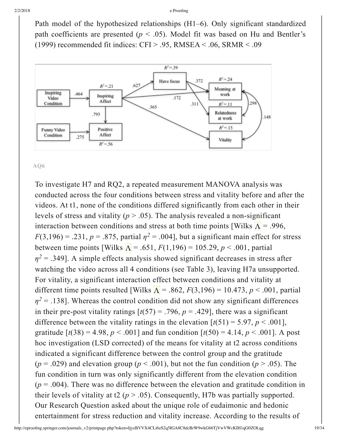Path model of the hypothesized relationships (H1–6). Only significant standardized path coefficients are presented ( $p < .05$ ). Model fit was based on Hu and Bentler's (1999) recommended fit indices:  $CFI > .95$ , RMSEA < .06, SRMR < .09



**AQ6**

To investigate H7 and RQ2, a repeated measurement MANOVA analysis was conducted across the four conditions between stress and vitality before and after the videos. At t1, none of the conditions differed significantly from each other in their levels of stress and vitality ( $p > .05$ ). The analysis revealed a non-significant interaction between conditions and stress at both time points [Wilks  $\Lambda$  = .996,  $F(3,196) = .231$ ,  $p = .875$ , partial  $p^2 = .004$ , but a significant main effect for stress between time points [Wilks  $\Lambda$  = .651,  $F(1,196)$  = 105.29,  $p < .001$ , partial  $\eta^2$  = .349]. A simple effects analysis showed significant decreases in stress after watching the video across all 4 conditions (see Table 3), leaving H7a unsupported. For vitality, a significant interaction effect between conditions and vitality at different time points resulted [Wilks  $\Lambda$  = .862,  $F(3,196)$  = 10.473,  $p < .001$ , partial  $\eta^2$  = .138]. Whereas the control condition did not show any significant differences in their pre-post vitality ratings  $[t(57) = .796, p = .429]$ , there was a significant difference between the vitality ratings in the elevation  $[t(51) = 5.97, p < .001]$ , gratitude  $[t(38) = 4.98, p < .001]$  and fun condition  $[t(50) = 4.14, p < .001]$ . A post hoc investigation (LSD corrected) of the means for vitality at t2 across conditions indicated a significant difference between the control group and the gratitude ( $p = .029$ ) and elevation group ( $p < .001$ ), but not the fun condition ( $p > .05$ ). The fun condition in turn was only significantly different from the elevation condition  $(p = .004)$ . There was no difference between the elevation and gratitude condition in their levels of vitality at t2 ( $p > 0.05$ ). Consequently, H7b was partially supported. Our Research Question asked about the unique role of eudaimonic and hedonic entertainment for stress reduction and vitality increase. According to the results of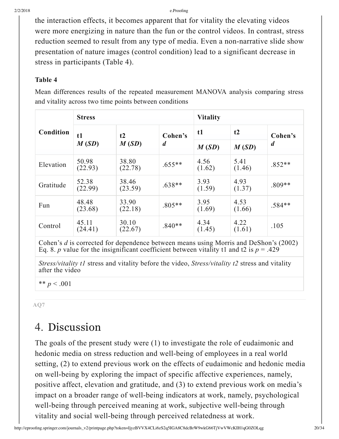the interaction effects, it becomes apparent that for vitality the elevating videos were more energizing in nature than the fun or the control videos. In contrast, stress reduction seemed to result from any type of media. Even a non-narrative slide show presentation of nature images (control condition) lead to a significant decrease in stress in participants (Table 4).

### **Table 4**

Mean differences results of the repeated measurement MANOVA analysis comparing stress and vitality across two time points between conditions

| Condition | <b>Stress</b>     |                  |                             | <b>Vitality</b> |                |                  |  |
|-----------|-------------------|------------------|-----------------------------|-----------------|----------------|------------------|--|
|           | t1<br>t2<br>M(SD) |                  | Cohen's<br>$\boldsymbol{d}$ | t1              | t2             | Cohen's          |  |
|           |                   | M(SD)            |                             | M(SD)<br>M(SD)  |                | $\boldsymbol{d}$ |  |
| Elevation | 50.98<br>(22.93)  | 38.80<br>(22.78) | $.655**$                    | 4.56<br>(1.62)  | 5.41<br>(1.46) | $.852**$         |  |
| Gratitude | 52.38<br>(22.99)  | 38.46<br>(23.59) | $.638**$                    | 3.93<br>(1.59)  | 4.93<br>(1.37) | $.809**$         |  |
| Fun       | 48.48<br>(23.68)  | 33.90<br>(22.18) | $.805**$                    | 3.95<br>(1.69)  | 4.53<br>(1.66) | $.584**$         |  |
| Control   | 45.11<br>(24.41)  | 30.10<br>(22.67) | $.840**$                    | 4.34<br>(1.45)  | 4.22<br>(1.61) | .105             |  |

Cohen's *d* is corrected for dependence between means using Morris and DeShon's (2002) Eq. 8. *p* value for the insignificant coefficient between vitality t1 and t2 is  $p = .429$ 

*Stress/vitality t1* stress and vitality before the video, *Stress/vitality t2* stress and vitality after the video

\*\*  $p < .001$ 

**AQ7**

# 4. Discussion

The goals of the present study were (1) to investigate the role of eudaimonic and hedonic media on stress reduction and well-being of employees in a real world setting, (2) to extend previous work on the effects of eudaimonic and hedonic media on well-being by exploring the impact of specific affective experiences, namely, positive affect, elevation and gratitude, and (3) to extend previous work on media's impact on a broader range of well-being indicators at work, namely, psychological well-being through perceived meaning at work, subjective well-being through vitality and social well-being through perceived relatedness at work.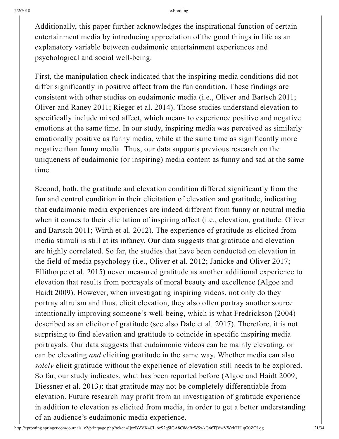Additionally, this paper further acknowledges the inspirational function of certain entertainment media by introducing appreciation of the good things in life as an explanatory variable between eudaimonic entertainment experiences and psychological and social well-being.

First, the manipulation check indicated that the inspiring media conditions did not differ significantly in positive affect from the fun condition. These findings are consistent with other studies on eudaimonic media (i.e., Oliver and Bartsch 2011; Oliver and Raney 2011; Rieger et al. 2014). Those studies understand elevation to specifically include mixed affect, which means to experience positive and negative emotions at the same time. In our study, inspiring media was perceived as similarly emotionally positive as funny media, while at the same time as significantly more negative than funny media. Thus, our data supports previous research on the uniqueness of eudaimonic (or inspiring) media content as funny and sad at the same time.

Second, both, the gratitude and elevation condition differed significantly from the fun and control condition in their elicitation of elevation and gratitude, indicating that eudaimonic media experiences are indeed different from funny or neutral media when it comes to their elicitation of inspiring affect (i.e., elevation, gratitude. Oliver and Bartsch 2011; Wirth et al. 2012). The experience of gratitude as elicited from media stimuli is still at its infancy. Our data suggests that gratitude and elevation are highly correlated. So far, the studies that have been conducted on elevation in the field of media psychology (i.e., Oliver et al. 2012; Janicke and Oliver 2017; Ellithorpe et al. 2015) never measured gratitude as another additional experience to elevation that results from portrayals of moral beauty and excellence (Algoe and Haidt 2009). However, when investigating inspiring videos, not only do they portray altruism and thus, elicit elevation, they also often portray another source intentionally improving someone's-well-being, which is what Fredrickson (2004) described as an elicitor of gratitude (see also Dale et al. 2017). Therefore, it is not surprising to find elevation and gratitude to coincide in specific inspiring media portrayals. Our data suggests that eudaimonic videos can be mainly elevating, or can be elevating *and* eliciting gratitude in the same way. Whether media can also *solely* elicit gratitude without the experience of elevation still needs to be explored. So far, our study indicates, what has been reported before (Algoe and Haidt 2009; Diessner et al. 2013): that gratitude may not be completely differentiable from elevation. Future research may profit from an investigation of gratitude experience in addition to elevation as elicited from media, in order to get a better understanding of an audience's eudaimonic media experience.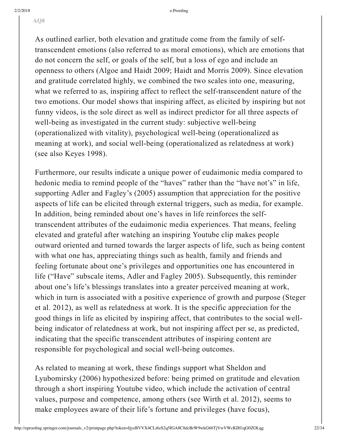### **AQ8**

As outlined earlier, both elevation and gratitude come from the family of selftranscendent emotions (also referred to as moral emotions), which are emotions that do not concern the self, or goals of the self, but a loss of ego and include an openness to others (Algoe and Haidt 2009; Haidt and Morris 2009). Since elevation and gratitude correlated highly, we combined the two scales into one, measuring, what we referred to as, inspiring affect to reflect the self-transcendent nature of the two emotions. Our model shows that inspiring affect, as elicited by inspiring but not funny videos, is the sole direct as well as indirect predictor for all three aspects of well-being as investigated in the current study: subjective well-being (operationalized with vitality), psychological well-being (operationalized as meaning at work), and social well-being (operationalized as relatedness at work) (see also Keyes 1998).

Furthermore, our results indicate a unique power of eudaimonic media compared to hedonic media to remind people of the "haves" rather than the "have not's" in life, supporting Adler and Fagley's (2005) assumption that appreciation for the positive aspects of life can be elicited through external triggers, such as media, for example. In addition, being reminded about one's haves in life reinforces the selftranscendent attributes of the eudaimonic media experiences. That means, feeling elevated and grateful after watching an inspiring Youtube clip makes people outward oriented and turned towards the larger aspects of life, such as being content with what one has, appreciating things such as health, family and friends and feeling fortunate about one's privileges and opportunities one has encountered in life ("Have" subscale items, Adler and Fagley 2005). Subsequently, this reminder about one's life's blessings translates into a greater perceived meaning at work, which in turn is associated with a positive experience of growth and purpose (Steger et al. 2012), as well as relatedness at work. It is the specific appreciation for the good things in life as elicited by inspiring affect, that contributes to the social wellbeing indicator of relatedness at work, but not inspiring affect per se, as predicted, indicating that the specific transcendent attributes of inspiring content are responsible for psychological and social well-being outcomes.

As related to meaning at work, these findings support what Sheldon and Lyubomirsky (2006) hypothesized before: being primed on gratitude and elevation through a short inspiring Youtube video, which include the activation of central values, purpose and competence, among others (see Wirth et al. 2012), seems to make employees aware of their life's fortune and privileges (have focus),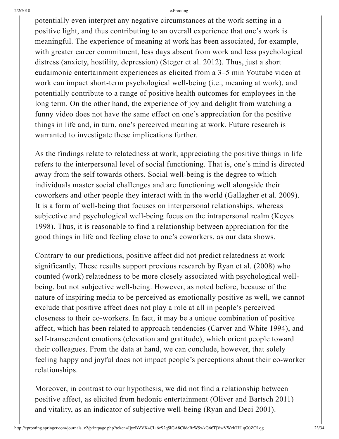potentially even interpret any negative circumstances at the work setting in a positive light, and thus contributing to an overall experience that one's work is meaningful. The experience of meaning at work has been associated, for example, with greater career commitment, less days absent from work and less psychological distress (anxiety, hostility, depression) (Steger et al. 2012). Thus, just a short eudaimonic entertainment experiences as elicited from a 3–5 min Youtube video at work can impact short-term psychological well-being (i.e., meaning at work), and potentially contribute to a range of positive health outcomes for employees in the long term. On the other hand, the experience of joy and delight from watching a funny video does not have the same effect on one's appreciation for the positive things in life and, in turn, one's perceived meaning at work. Future research is warranted to investigate these implications further.

As the findings relate to relatedness at work, appreciating the positive things in life refers to the interpersonal level of social functioning. That is, one's mind is directed away from the self towards others. Social well-being is the degree to which individuals master social challenges and are functioning well alongside their coworkers and other people they interact with in the world (Gallagher et al. 2009). It is a form of well-being that focuses on interpersonal relationships, whereas subjective and psychological well-being focus on the intrapersonal realm (Keyes 1998). Thus, it is reasonable to find a relationship between appreciation for the good things in life and feeling close to one's coworkers, as our data shows.

Contrary to our predictions, positive affect did not predict relatedness at work significantly. These results support previous research by Ryan et al. (2008) who counted (work) relatedness to be more closely associated with psychological wellbeing, but not subjective well-being. However, as noted before, because of the nature of inspiring media to be perceived as emotionally positive as well, we cannot exclude that positive affect does not play a role at all in people's perceived closeness to their co-workers. In fact, it may be a unique combination of positive affect, which has been related to approach tendencies (Carver and White 1994), and self-transcendent emotions (elevation and gratitude), which orient people toward their colleagues. From the data at hand, we can conclude, however, that solely feeling happy and joyful does not impact people's perceptions about their co-worker relationships.

Moreover, in contrast to our hypothesis, we did not find a relationship between positive affect, as elicited from hedonic entertainment (Oliver and Bartsch 2011) and vitality, as an indicator of subjective well-being (Ryan and Deci 2001).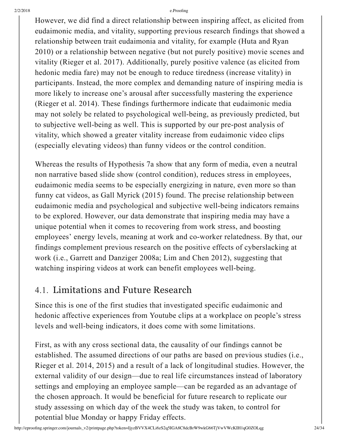However, we did find a direct relationship between inspiring affect, as elicited from eudaimonic media, and vitality, supporting previous research findings that showed a relationship between trait eudaimonia and vitality, for example (Huta and Ryan 2010) or a relationship between negative (but not purely positive) movie scenes and vitality (Rieger et al. 2017). Additionally, purely positive valence (as elicited from hedonic media fare) may not be enough to reduce tiredness (increase vitality) in participants. Instead, the more complex and demanding nature of inspiring media is more likely to increase one's arousal after successfully mastering the experience (Rieger et al. 2014). These findings furthermore indicate that eudaimonic media may not solely be related to psychological well-being, as previously predicted, but to subjective well-being as well. This is supported by our pre-post analysis of vitality, which showed a greater vitality increase from eudaimonic video clips (especially elevating videos) than funny videos or the control condition.

Whereas the results of Hypothesis 7a show that any form of media, even a neutral non narrative based slide show (control condition), reduces stress in employees, eudaimonic media seems to be especially energizing in nature, even more so than funny cat videos, as Gall Myrick (2015) found. The precise relationship between eudaimonic media and psychological and subjective well-being indicators remains to be explored. However, our data demonstrate that inspiring media may have a unique potential when it comes to recovering from work stress, and boosting employees' energy levels, meaning at work and co-worker relatedness. By that, our findings complement previous research on the positive effects of cyberslacking at work (i.e., Garrett and Danziger 2008a; Lim and Chen 2012), suggesting that watching inspiring videos at work can benefit employees well-being.

## 4.1. Limitations and Future Research

Since this is one of the first studies that investigated specific eudaimonic and hedonic affective experiences from Youtube clips at a workplace on people's stress levels and well-being indicators, it does come with some limitations.

First, as with any cross sectional data, the causality of our findings cannot be established. The assumed directions of our paths are based on previous studies (i.e., Rieger et al. 2014, 2015) and a result of a lack of longitudinal studies. However, the external validity of our design—due to real life circumstances instead of laboratory settings and employing an employee sample—can be regarded as an advantage of the chosen approach. It would be beneficial for future research to replicate our study assessing on which day of the week the study was taken, to control for potential blue Monday or happy Friday effects.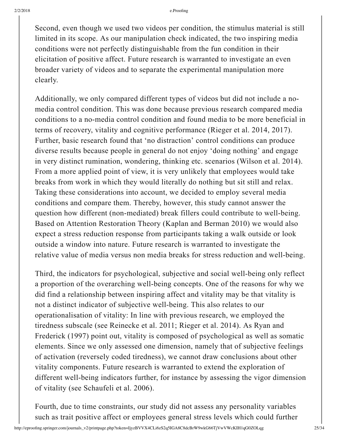Second, even though we used two videos per condition, the stimulus material is still limited in its scope. As our manipulation check indicated, the two inspiring media conditions were not perfectly distinguishable from the fun condition in their elicitation of positive affect. Future research is warranted to investigate an even broader variety of videos and to separate the experimental manipulation more clearly.

Additionally, we only compared different types of videos but did not include a nomedia control condition. This was done because previous research compared media conditions to a no-media control condition and found media to be more beneficial in terms of recovery, vitality and cognitive performance (Rieger et al. 2014, 2017). Further, basic research found that 'no distraction' control conditions can produce diverse results because people in general do not enjoy 'doing nothing' and engage in very distinct rumination, wondering, thinking etc. scenarios (Wilson et al. 2014). From a more applied point of view, it is very unlikely that employees would take breaks from work in which they would literally do nothing but sit still and relax. Taking these considerations into account, we decided to employ several media conditions and compare them. Thereby, however, this study cannot answer the question how different (non-mediated) break fillers could contribute to well-being. Based on Attention Restoration Theory (Kaplan and Berman 2010) we would also expect a stress reduction response from participants taking a walk outside or look outside a window into nature. Future research is warranted to investigate the relative value of media versus non media breaks for stress reduction and well-being.

Third, the indicators for psychological, subjective and social well-being only reflect a proportion of the overarching well-being concepts. One of the reasons for why we did find a relationship between inspiring affect and vitality may be that vitality is not a distinct indicator of subjective well-being. This also relates to our operationalisation of vitality: In line with previous research, we employed the tiredness subscale (see Reinecke et al. 2011; Rieger et al. 2014). As Ryan and Frederick (1997) point out, vitality is composed of psychological as well as somatic elements. Since we only assessed one dimension, namely that of subjective feelings of activation (reversely coded tiredness), we cannot draw conclusions about other vitality components. Future research is warranted to extend the exploration of different well-being indicators further, for instance by assessing the vigor dimension of vitality (see Schaufeli et al. 2006).

Fourth, due to time constraints, our study did not assess any personality variables such as trait positive affect or employees general stress levels which could further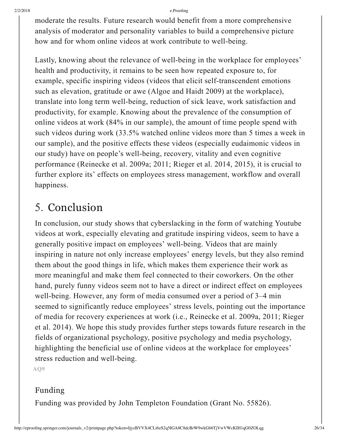moderate the results. Future research would benefit from a more comprehensive analysis of moderator and personality variables to build a comprehensive picture how and for whom online videos at work contribute to well-being.

Lastly, knowing about the relevance of well-being in the workplace for employees' health and productivity, it remains to be seen how repeated exposure to, for example, specific inspiring videos (videos that elicit self-transcendent emotions such as elevation, gratitude or awe (Algoe and Haidt 2009) at the workplace), translate into long term well-being, reduction of sick leave, work satisfaction and productivity, for example. Knowing about the prevalence of the consumption of online videos at work (84% in our sample), the amount of time people spend with such videos during work (33.5% watched online videos more than 5 times a week in our sample), and the positive effects these videos (especially eudaimonic videos in our study) have on people's well-being, recovery, vitality and even cognitive performance (Reinecke et al. 2009a; 2011; Rieger et al. 2014, 2015), it is crucial to further explore its' effects on employees stress management, workflow and overall happiness.

# 5. Conclusion

In conclusion, our study shows that cyberslacking in the form of watching Youtube videos at work, especially elevating and gratitude inspiring videos, seem to have a generally positive impact on employees' well-being. Videos that are mainly inspiring in nature not only increase employees' energy levels, but they also remind them about the good things in life, which makes them experience their work as more meaningful and make them feel connected to their coworkers. On the other hand, purely funny videos seem not to have a direct or indirect effect on employees well-being. However, any form of media consumed over a period of 3–4 min seemed to significantly reduce employees' stress levels, pointing out the importance of media for recovery experiences at work (i.e., Reinecke et al. 2009a, 2011; Rieger et al. 2014). We hope this study provides further steps towards future research in the fields of organizational psychology, positive psychology and media psychology, highlighting the beneficial use of online videos at the workplace for employees' stress reduction and well-being.

**AQ9**

### Funding

Funding was provided by John Templeton Foundation (Grant No. 55826).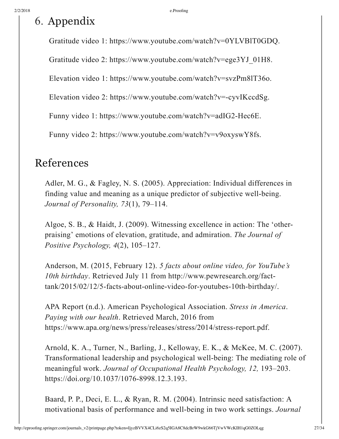# 6. Appendix

Gratitude video 1: https://www.youtube.com/watch?v=0YLVBlT0GDQ.

Gratitude video 2: https://www.youtube.com/watch?v=ege3YJ\_01H8.

Elevation video 1: https://www.youtube.com/watch?v=svzPm8lT36o.

Elevation video 2: https://www.youtube.com/watch?v=-cyvIKccdSg.

Funny video 1: https://www.youtube.com/watch?v=adIG2-Hec6E.

Funny video 2: https://www.youtube.com/watch?v=v9oxyswY8fs.

# References

Adler, M. G., & Fagley, N. S. (2005). Appreciation: Individual differences in finding value and meaning as a unique predictor of subjective well-being. *Journal of Personality, 73*(1), 79–114.

Algoe, S. B., & Haidt, J. (2009). Witnessing excellence in action: The 'otherpraising' emotions of elevation, gratitude, and admiration. *The Journal of Positive Psychology, 4*(2), 105–127.

Anderson, M. (2015, February 12). *5 facts about online video, for YouTube's 10th birthday*. Retrieved July 11 from http://www.pewresearch.org/fact $tank/2015/02/12/5$ -facts-about-online-video-for-youtubes-10th-birthday/.

APA Report (n.d.). American Psychological Association. *Stress in America*. *Paying with our health*. Retrieved March, 2016 from https://www.apa.org/news/press/releases/stress/2014/stress-report.pdf.

Arnold, K. A., Turner, N., Barling, J., Kelloway, E. K., & McKee, M. C. (2007). Transformational leadership and psychological well-being: The mediating role of meaningful work. *Journal of Occupational Health Psychology, 12,* 193–203. https://doi.org/10.1037/1076-8998.12.3.193.

Baard, P. P., Deci, E. L., & Ryan, R. M. (2004). Intrinsic need satisfaction: A motivational basis of performance and well-being in two work settings. *Journal*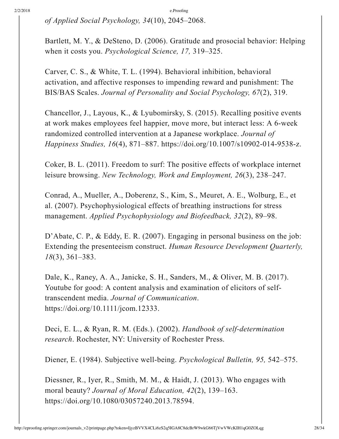*of Applied Social Psychology, 34*(10), 2045–2068.

Bartlett, M. Y., & DeSteno, D. (2006). Gratitude and prosocial behavior: Helping when it costs you. *Psychological Science, 17,* 319–325.

Carver, C. S., & White, T. L. (1994). Behavioral inhibition, behavioral activation, and affective responses to impending reward and punishment: The BIS/BAS Scales. *Journal of Personality and Social Psychology, 67*(2), 319.

Chancellor, J., Layous, K., & Lyubomirsky, S. (2015). Recalling positive events at work makes employees feel happier, move more, but interact less: A 6-week randomized controlled intervention at a Japanese workplace. *Journal of Happiness Studies, 16*(4), 871–887. https://doi.org/10.1007/s10902-014-9538-z.

Coker, B. L. (2011). Freedom to surf: The positive effects of workplace internet leisure browsing. *New Technology, Work and Employment, 26*(3), 238–247.

Conrad, A., Mueller, A., Doberenz, S., Kim, S., Meuret, A. E., Wolburg, E., et al. (2007). Psychophysiological effects of breathing instructions for stress management. *Applied Psychophysiology and Biofeedback, 32*(2), 89–98.

D'Abate, C. P., & Eddy, E. R. (2007). Engaging in personal business on the job: Extending the presenteeism construct. *Human Resource Development Quarterly, 18*(3), 361–383.

Dale, K., Raney, A. A., Janicke, S. H., Sanders, M., & Oliver, M. B. (2017). Youtube for good: A content analysis and examination of elicitors of selftranscendent media. *Journal of Communication*. https://doi.org/10.1111/jcom.12333.

Deci, E. L., & Ryan, R. M. (Eds.). (2002). *Handbook of self-determination research*. Rochester, NY: University of Rochester Press.

Diener, E. (1984). Subjective well-being. *Psychological Bulletin*, 95, 542–575.

Diessner, R., Iyer, R., Smith, M. M., & Haidt, J. (2013). Who engages with moral beauty? *Journal of Moral Education, 42*(2), 139–163. https://doi.org/10.1080/03057240.2013.78594.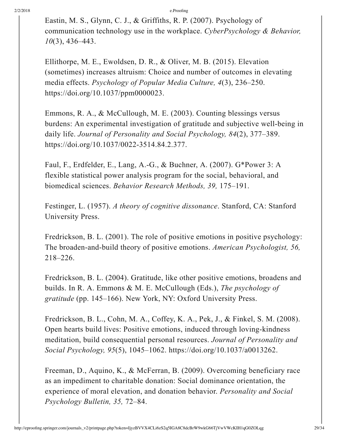Eastin, M. S., Glynn, C. J., & Griffiths, R. P. (2007). Psychology of communication technology use in the workplace. *CyberPsychology & Behavior, 10*(3), 436–443.

Ellithorpe, M. E., Ewoldsen, D. R., & Oliver, M. B. (2015). Elevation (sometimes) increases altruism: Choice and number of outcomes in elevating media effects. *Psychology of Popular Media Culture, 4*(3), 236–250. https://doi.org/10.1037/ppm0000023.

Emmons, R. A., & McCullough, M. E. (2003). Counting blessings versus burdens: An experimental investigation of gratitude and subjective well-being in daily life. *Journal of Personality and Social Psychology, 84*(2), 377–389. https://doi.org/10.1037/0022-3514.84.2.377.

Faul, F., Erdfelder, E., Lang, A.G., & Buchner, A. (2007). G\*Power 3: A flexible statistical power analysis program for the social, behavioral, and biomedical sciences. *Behavior Research Methods, 39,* 175–191.

Festinger, L. (1957). *A theory of cognitive dissonance*. Stanford, CA: Stanford University Press.

Fredrickson, B. L. (2001). The role of positive emotions in positive psychology: The broaden-and-build theory of positive emotions. *American Psychologist*, 56, 218–226.

Fredrickson, B. L. (2004). Gratitude, like other positive emotions, broadens and builds. In R. A. Emmons & M. E. McCullough (Eds.), *The psychology of gratitude* (pp. 145–166). New York, NY: Oxford University Press.

Fredrickson, B. L., Cohn, M. A., Coffey, K. A., Pek, J., & Finkel, S. M. (2008). Open hearts build lives: Positive emotions, induced through loving-kindness meditation, build consequential personal resources. *Journal of Personality and Social Psychology, 95*(5), 1045–1062. https://doi.org/10.1037/a0013262.

Freeman, D., Aquino, K., & McFerran, B. (2009). Overcoming beneficiary race as an impediment to charitable donation: Social dominance orientation, the experience of moral elevation, and donation behavior. *Personality and Social Psychology Bulletin, 35,* 72–84.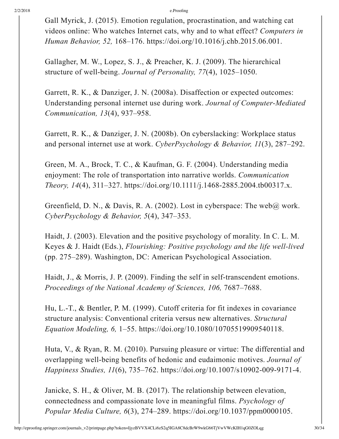Gall Myrick, J. (2015). Emotion regulation, procrastination, and watching cat videos online: Who watches Internet cats, why and to what effect? *Computers in Human Behavior, 52,* 168–176. https://doi.org/10.1016/j.chb.2015.06.001.

Gallagher, M. W., Lopez, S. J., & Preacher, K. J. (2009). The hierarchical structure of well-being. *Journal of Personality*, 77(4), 1025–1050.

Garrett, R. K., & Danziger, J. N. (2008a). Disaffection or expected outcomes: Understanding personal internet use during work. *Journal of Computer-Mediated Communication, 13*(4), 937–958.

Garrett, R. K., & Danziger, J. N. (2008b). On cyberslacking: Workplace status and personal internet use at work. *CyberPsychology & Behavior, 11*(3), 287–292.

Green, M. A., Brock, T. C., & Kaufman, G. F. (2004). Understanding media enjoyment: The role of transportation into narrative worlds. *Communication Theory, 14*(4), 311–327. https://doi.org/10.1111/j.1468-2885.2004.tb00317.x.

Greenfield, D. N., & Davis, R. A. (2002). Lost in cyberspace: The web $\omega$  work. *CyberPsychology & Behavior, 5*(4), 347–353.

Haidt, J. (2003). Elevation and the positive psychology of morality. In C. L. M. Keyes & J. Haidt (Eds.), *Flourishing: Positive psychology and the life welllived* (pp. 275–289). Washington, DC: American Psychological Association.

Haidt, J., & Morris, J. P. (2009). Finding the self in self-transcendent emotions. *Proceedings of the National Academy of Sciences, 106,* 7687–7688.

Hu, L.T., & Bentler, P. M. (1999). Cutoff criteria for fit indexes in covariance structure analysis: Conventional criteria versus new alternatives. *Structural Equation Modeling, 6,* 1–55. https://doi.org/10.1080/10705519909540118.

Huta, V., & Ryan, R. M. (2010). Pursuing pleasure or virtue: The differential and overlapping well-being benefits of hedonic and eudaimonic motives. *Journal of Happiness Studies, 11*(6), 735–762. https://doi.org/10.1007/s10902-009-9171-4.

Janicke, S. H., & Oliver, M. B. (2017). The relationship between elevation, connectedness and compassionate love in meaningful films. *Psychology of Popular Media Culture, 6*(3), 274–289. https://doi.org/10.1037/ppm0000105.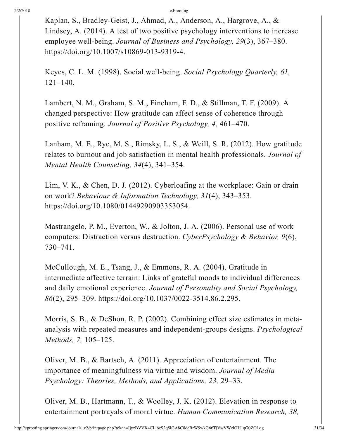Kaplan, S., Bradley-Geist, J., Ahmad, A., Anderson, A., Hargrove, A., & Lindsey, A. (2014). A test of two positive psychology interventions to increase employee well-being. *Journal of Business and Psychology, 29*(3), 367–380. https://doi.org/10.1007/s10869-013-9319-4.

Keyes, C. L. M. (1998). Social well-being. *Social Psychology Quarterly, 61,* 121–140.

Lambert, N. M., Graham, S. M., Fincham, F. D., & Stillman, T. F. (2009). A changed perspective: How gratitude can affect sense of coherence through positive reframing. *Journal of Positive Psychology, 4,* 461–470.

Lanham, M. E., Rye, M. S., Rimsky, L. S., & Weill, S. R. (2012). How gratitude relates to burnout and job satisfaction in mental health professionals. *Journal of Mental Health Counseling, 34*(4), 341–354.

Lim, V. K., & Chen, D. J. (2012). Cyberloafing at the workplace: Gain or drain on work? *Behaviour & Information Technology, 31*(4), 343–353. https://doi.org/10.1080/01449290903353054.

Mastrangelo, P. M., Everton, W., & Jolton, J. A. (2006). Personal use of work computers: Distraction versus destruction. *CyberPsychology & Behavior, 9*(6), 730–741.

McCullough, M. E., Tsang, J., & Emmons, R. A. (2004). Gratitude in intermediate affective terrain: Links of grateful moods to individual differences and daily emotional experience. *Journal of Personality and Social Psychology, 86*(2), 295–309. https://doi.org/10.1037/0022-3514.86.2.295.

Morris, S. B., & DeShon, R. P. (2002). Combining effect size estimates in metaanalysis with repeated measures and independent-groups designs. *Psychological Methods, 7,* 105–125.

Oliver, M. B., & Bartsch, A. (2011). Appreciation of entertainment. The importance of meaningfulness via virtue and wisdom. *Journal of Media Psychology: Theories, Methods, and Applications, 23,* 29–33.

Oliver, M. B., Hartmann, T., & Woolley, J. K. (2012). Elevation in response to entertainment portrayals of moral virtue. *Human Communication Research, 38,*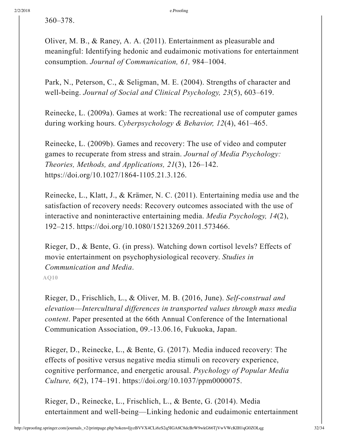360–378.

Oliver, M. B., & Raney, A. A. (2011). Entertainment as pleasurable and meaningful: Identifying hedonic and eudaimonic motivations for entertainment consumption. *Journal of Communication, 61,* 984–1004.

Park, N., Peterson, C., & Seligman, M. E. (2004). Strengths of character and well-being. *Journal of Social and Clinical Psychology,* 23(5), 603–619.

Reinecke, L. (2009a). Games at work: The recreational use of computer games during working hours. *Cyberpsychology & Behavior, 12*(4), 461–465.

Reinecke, L. (2009b). Games and recovery: The use of video and computer games to recuperate from stress and strain. *Journal of Media Psychology: Theories, Methods, and Applications, 21*(3), 126–142. https://doi.org/10.1027/1864-1105.21.3.126.

Reinecke, L., Klatt, J., & Krämer, N. C. (2011). Entertaining media use and the satisfaction of recovery needs: Recovery outcomes associated with the use of interactive and noninteractive entertaining media. *Media Psychology, 14*(2), 192–215. https://doi.org/10.1080/15213269.2011.573466.

Rieger, D., & Bente, G. (in press). Watching down cortisol levels? Effects of movie entertainment on psychophysiological recovery. *Studies in Communication and Media*. **AQ10**

Rieger, D., Frischlich, L., & Oliver, M. B. (2016, June). *Selfconstrual and elevation*—*Intercultural dif erences in transported values through mass media content*. Paper presented at the 66th Annual Conference of the International Communication Association, 09.13.06.16, Fukuoka, Japan.

Rieger, D., Reinecke, L., & Bente, G. (2017). Media induced recovery: The effects of positive versus negative media stimuli on recovery experience, cognitive performance, and energetic arousal. *Psychology of Popular Media Culture, 6*(2), 174–191. https://doi.org/10.1037/ppm0000075.

Rieger, D., Reinecke, L., Frischlich, L., & Bente, G. (2014). Media entertainment and well-being—Linking hedonic and eudaimonic entertainment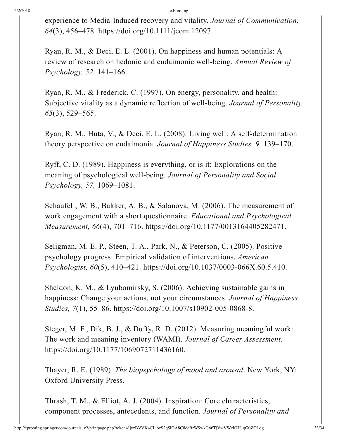experience to Media-Induced recovery and vitality. *Journal of Communication*, *64*(3), 456–478. https://doi.org/10.1111/jcom.12097.

Ryan, R. M., & Deci, E. L. (2001). On happiness and human potentials: A review of research on hedonic and eudaimonic well-being. *Annual Review of Psychology, 52,* 141–166.

Ryan, R. M., & Frederick, C. (1997). On energy, personality, and health: Subjective vitality as a dynamic reflection of well-being. *Journal of Personality*, *65*(3), 529–565.

Ryan, R. M., Huta, V., & Deci, E. L.  $(2008)$ . Living well: A self-determination theory perspective on eudaimonia. *Journal of Happiness Studies, 9,* 139–170.

Ryff, C. D. (1989). Happiness is everything, or is it: Explorations on the meaning of psychological well-being. *Journal of Personality and Social Psychology, 57,* 1069–1081.

Schaufeli, W. B., Bakker, A. B., & Salanova, M. (2006). The measurement of work engagement with a short questionnaire. *Educational and Psychological Measurement, 66*(4), 701–716. https://doi.org/10.1177/0013164405282471.

Seligman, M. E. P., Steen, T. A., Park, N., & Peterson, C. (2005). Positive psychology progress: Empirical validation of interventions. *American Psychologist,* 60(5), 410–421. https://doi.org/10.1037/0003-066X.60.5.410.

Sheldon, K. M., & Lyubomirsky, S. (2006). Achieving sustainable gains in happiness: Change your actions, not your circumstances. *Journal of Happiness Studies,* 7(1), 55–86. https://doi.org/10.1007/s10902-005-0868-8.

Steger, M. F., Dik, B. J., & Duffy, R. D. (2012). Measuring meaningful work: The work and meaning inventory (WAMI). *Journal of Career Assessment*. https://doi.org/10.1177/1069072711436160.

Thayer, R. E. (1989). *The biopsychology of mood and arousal*. New York, NY: Oxford University Press.

Thrash, T. M., & Elliot, A. J. (2004). Inspiration: Core characteristics, component processes, antecedents, and function. *Journal of Personality and*